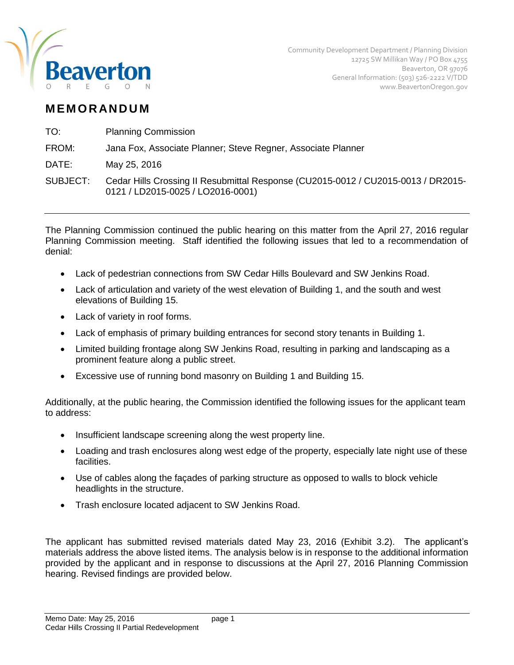

# **M EM O R AN D U M**

TO: Planning Commission

# FROM: Jana Fox, Associate Planner; Steve Regner, Associate Planner

DATE: May 25, 2016

SUBJECT: Cedar Hills Crossing II Resubmittal Response (CU2015-0012 / CU2015-0013 / DR2015- 0121 / LD2015-0025 / LO2016-0001)

The Planning Commission continued the public hearing on this matter from the April 27, 2016 regular Planning Commission meeting. Staff identified the following issues that led to a recommendation of denial:

- Lack of pedestrian connections from SW Cedar Hills Boulevard and SW Jenkins Road.
- Lack of articulation and variety of the west elevation of Building 1, and the south and west elevations of Building 15.
- Lack of variety in roof forms.
- Lack of emphasis of primary building entrances for second story tenants in Building 1.
- Limited building frontage along SW Jenkins Road, resulting in parking and landscaping as a prominent feature along a public street.
- Excessive use of running bond masonry on Building 1 and Building 15.

Additionally, at the public hearing, the Commission identified the following issues for the applicant team to address:

- Insufficient landscape screening along the west property line.
- Loading and trash enclosures along west edge of the property, especially late night use of these facilities.
- Use of cables along the façades of parking structure as opposed to walls to block vehicle headlights in the structure.
- Trash enclosure located adjacent to SW Jenkins Road.

The applicant has submitted revised materials dated May 23, 2016 (Exhibit 3.2). The applicant's materials address the above listed items. The analysis below is in response to the additional information provided by the applicant and in response to discussions at the April 27, 2016 Planning Commission hearing. Revised findings are provided below.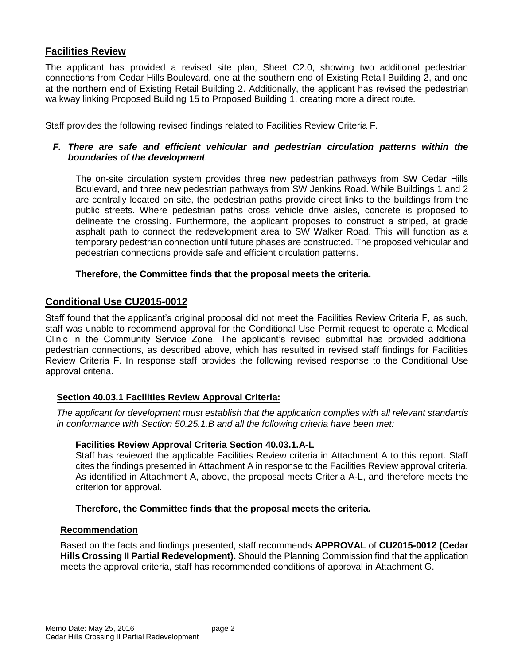# **Facilities Review**

The applicant has provided a revised site plan, Sheet C2.0, showing two additional pedestrian connections from Cedar Hills Boulevard, one at the southern end of Existing Retail Building 2, and one at the northern end of Existing Retail Building 2. Additionally, the applicant has revised the pedestrian walkway linking Proposed Building 15 to Proposed Building 1, creating more a direct route.

Staff provides the following revised findings related to Facilities Review Criteria F.

#### *F. There are safe and efficient vehicular and pedestrian circulation patterns within the boundaries of the development.*

The on-site circulation system provides three new pedestrian pathways from SW Cedar Hills Boulevard, and three new pedestrian pathways from SW Jenkins Road. While Buildings 1 and 2 are centrally located on site, the pedestrian paths provide direct links to the buildings from the public streets. Where pedestrian paths cross vehicle drive aisles, concrete is proposed to delineate the crossing. Furthermore, the applicant proposes to construct a striped, at grade asphalt path to connect the redevelopment area to SW Walker Road. This will function as a temporary pedestrian connection until future phases are constructed. The proposed vehicular and pedestrian connections provide safe and efficient circulation patterns.

#### **Therefore, the Committee finds that the proposal meets the criteria.**

# **Conditional Use CU2015-0012**

Staff found that the applicant's original proposal did not meet the Facilities Review Criteria F, as such, staff was unable to recommend approval for the Conditional Use Permit request to operate a Medical Clinic in the Community Service Zone. The applicant's revised submittal has provided additional pedestrian connections, as described above, which has resulted in revised staff findings for Facilities Review Criteria F. In response staff provides the following revised response to the Conditional Use approval criteria.

## **Section 40.03.1 Facilities Review Approval Criteria:**

*The applicant for development must establish that the application complies with all relevant standards in conformance with Section 50.25.1.B and all the following criteria have been met:* 

#### **Facilities Review Approval Criteria Section 40.03.1.A-L**

Staff has reviewed the applicable Facilities Review criteria in Attachment A to this report. Staff cites the findings presented in Attachment A in response to the Facilities Review approval criteria. As identified in Attachment A, above, the proposal meets Criteria A-L, and therefore meets the criterion for approval.

#### **Therefore, the Committee finds that the proposal meets the criteria.**

#### **Recommendation**

Based on the facts and findings presented, staff recommends **APPROVAL** of **CU2015-0012 (Cedar Hills Crossing II Partial Redevelopment).** Should the Planning Commission find that the application meets the approval criteria, staff has recommended conditions of approval in Attachment G.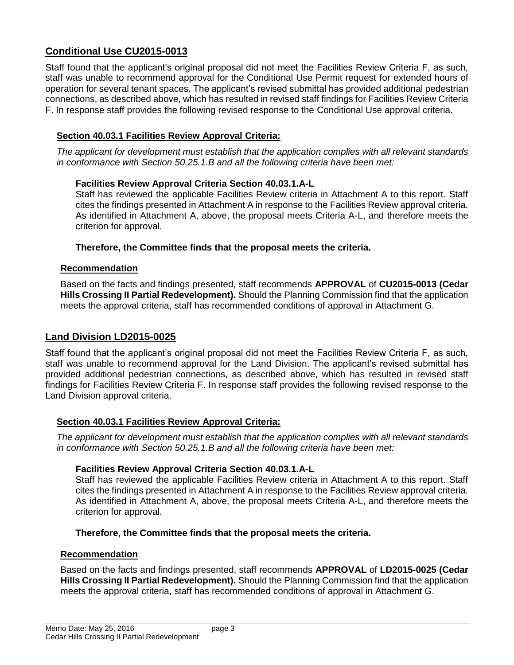# **Conditional Use CU2015-0013**

Staff found that the applicant's original proposal did not meet the Facilities Review Criteria F, as such, staff was unable to recommend approval for the Conditional Use Permit request for extended hours of operation for several tenant spaces. The applicant's revised submittal has provided additional pedestrian connections, as described above, which has resulted in revised staff findings for Facilities Review Criteria F. In response staff provides the following revised response to the Conditional Use approval criteria.

# **Section 40.03.1 Facilities Review Approval Criteria:**

*The applicant for development must establish that the application complies with all relevant standards in conformance with Section 50.25.1.B and all the following criteria have been met:* 

#### **Facilities Review Approval Criteria Section 40.03.1.A-L**

Staff has reviewed the applicable Facilities Review criteria in Attachment A to this report. Staff cites the findings presented in Attachment A in response to the Facilities Review approval criteria. As identified in Attachment A, above, the proposal meets Criteria A-L, and therefore meets the criterion for approval.

#### **Therefore, the Committee finds that the proposal meets the criteria.**

#### **Recommendation**

Based on the facts and findings presented, staff recommends **APPROVAL** of **CU2015-0013 (Cedar Hills Crossing II Partial Redevelopment).** Should the Planning Commission find that the application meets the approval criteria, staff has recommended conditions of approval in Attachment G.

## **Land Division LD2015-0025**

Staff found that the applicant's original proposal did not meet the Facilities Review Criteria F, as such, staff was unable to recommend approval for the Land Division. The applicant's revised submittal has provided additional pedestrian connections, as described above, which has resulted in revised staff findings for Facilities Review Criteria F. In response staff provides the following revised response to the Land Division approval criteria.

## **Section 40.03.1 Facilities Review Approval Criteria:**

*The applicant for development must establish that the application complies with all relevant standards in conformance with Section 50.25.1.B and all the following criteria have been met:* 

## **Facilities Review Approval Criteria Section 40.03.1.A-L**

Staff has reviewed the applicable Facilities Review criteria in Attachment A to this report. Staff cites the findings presented in Attachment A in response to the Facilities Review approval criteria. As identified in Attachment A, above, the proposal meets Criteria A-L, and therefore meets the criterion for approval.

## **Therefore, the Committee finds that the proposal meets the criteria.**

#### **Recommendation**

Based on the facts and findings presented, staff recommends **APPROVAL** of **LD2015-0025 (Cedar Hills Crossing II Partial Redevelopment).** Should the Planning Commission find that the application meets the approval criteria, staff has recommended conditions of approval in Attachment G.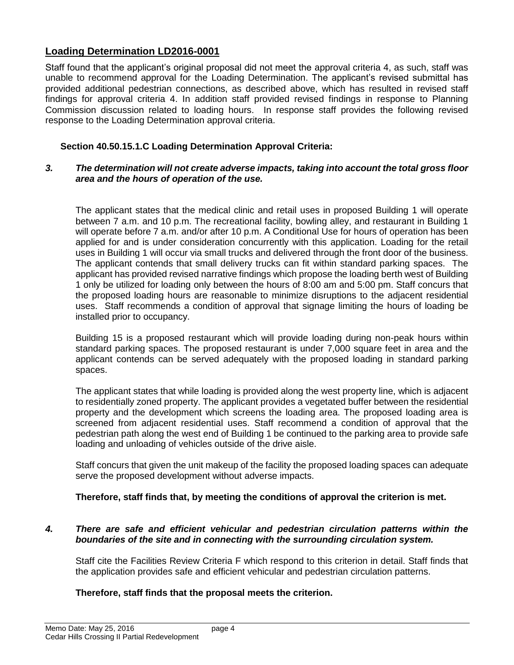# **Loading Determination LD2016-0001**

Staff found that the applicant's original proposal did not meet the approval criteria 4, as such, staff was unable to recommend approval for the Loading Determination. The applicant's revised submittal has provided additional pedestrian connections, as described above, which has resulted in revised staff findings for approval criteria 4. In addition staff provided revised findings in response to Planning Commission discussion related to loading hours. In response staff provides the following revised response to the Loading Determination approval criteria.

#### **Section 40.50.15.1.C Loading Determination Approval Criteria:**

#### *3. The determination will not create adverse impacts, taking into account the total gross floor area and the hours of operation of the use.*

The applicant states that the medical clinic and retail uses in proposed Building 1 will operate between 7 a.m. and 10 p.m. The recreational facility, bowling alley, and restaurant in Building 1 will operate before 7 a.m. and/or after 10 p.m. A Conditional Use for hours of operation has been applied for and is under consideration concurrently with this application. Loading for the retail uses in Building 1 will occur via small trucks and delivered through the front door of the business. The applicant contends that small delivery trucks can fit within standard parking spaces. The applicant has provided revised narrative findings which propose the loading berth west of Building 1 only be utilized for loading only between the hours of 8:00 am and 5:00 pm. Staff concurs that the proposed loading hours are reasonable to minimize disruptions to the adjacent residential uses. Staff recommends a condition of approval that signage limiting the hours of loading be installed prior to occupancy.

Building 15 is a proposed restaurant which will provide loading during non-peak hours within standard parking spaces. The proposed restaurant is under 7,000 square feet in area and the applicant contends can be served adequately with the proposed loading in standard parking spaces.

The applicant states that while loading is provided along the west property line, which is adjacent to residentially zoned property. The applicant provides a vegetated buffer between the residential property and the development which screens the loading area. The proposed loading area is screened from adjacent residential uses. Staff recommend a condition of approval that the pedestrian path along the west end of Building 1 be continued to the parking area to provide safe loading and unloading of vehicles outside of the drive aisle.

Staff concurs that given the unit makeup of the facility the proposed loading spaces can adequate serve the proposed development without adverse impacts.

#### **Therefore, staff finds that, by meeting the conditions of approval the criterion is met.**

#### *4. There are safe and efficient vehicular and pedestrian circulation patterns within the boundaries of the site and in connecting with the surrounding circulation system.*

Staff cite the Facilities Review Criteria F which respond to this criterion in detail. Staff finds that the application provides safe and efficient vehicular and pedestrian circulation patterns.

## **Therefore, staff finds that the proposal meets the criterion.**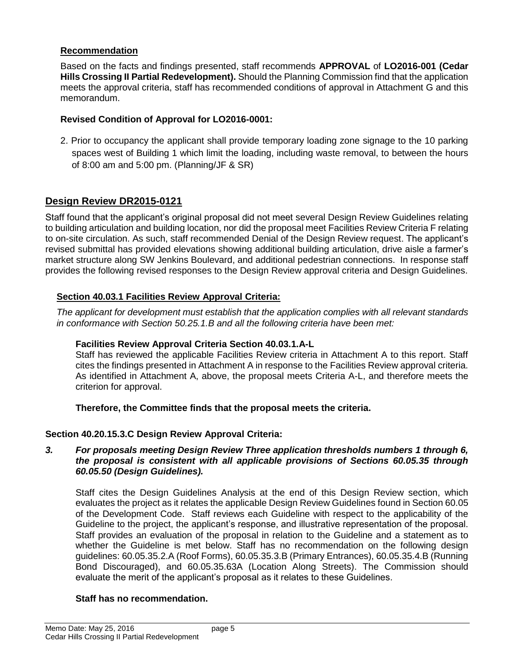#### **Recommendation**

Based on the facts and findings presented, staff recommends **APPROVAL** of **LO2016-001 (Cedar Hills Crossing II Partial Redevelopment).** Should the Planning Commission find that the application meets the approval criteria, staff has recommended conditions of approval in Attachment G and this memorandum.

## **Revised Condition of Approval for LO2016-0001:**

2. Prior to occupancy the applicant shall provide temporary loading zone signage to the 10 parking spaces west of Building 1 which limit the loading, including waste removal, to between the hours of 8:00 am and 5:00 pm. (Planning/JF & SR)

# **Design Review DR2015-0121**

Staff found that the applicant's original proposal did not meet several Design Review Guidelines relating to building articulation and building location, nor did the proposal meet Facilities Review Criteria F relating to on-site circulation. As such, staff recommended Denial of the Design Review request. The applicant's revised submittal has provided elevations showing additional building articulation, drive aisle a farmer's market structure along SW Jenkins Boulevard, and additional pedestrian connections. In response staff provides the following revised responses to the Design Review approval criteria and Design Guidelines.

#### **Section 40.03.1 Facilities Review Approval Criteria:**

*The applicant for development must establish that the application complies with all relevant standards in conformance with Section 50.25.1.B and all the following criteria have been met:* 

#### **Facilities Review Approval Criteria Section 40.03.1.A-L**

Staff has reviewed the applicable Facilities Review criteria in Attachment A to this report. Staff cites the findings presented in Attachment A in response to the Facilities Review approval criteria. As identified in Attachment A, above, the proposal meets Criteria A-L, and therefore meets the criterion for approval.

#### **Therefore, the Committee finds that the proposal meets the criteria.**

## **Section 40.20.15.3.C Design Review Approval Criteria:**

#### *3. For proposals meeting Design Review Three application thresholds numbers 1 through 6, the proposal is consistent with all applicable provisions of Sections 60.05.35 through 60.05.50 (Design Guidelines).*

Staff cites the Design Guidelines Analysis at the end of this Design Review section, which evaluates the project as it relates the applicable Design Review Guidelines found in Section 60.05 of the Development Code. Staff reviews each Guideline with respect to the applicability of the Guideline to the project, the applicant's response, and illustrative representation of the proposal. Staff provides an evaluation of the proposal in relation to the Guideline and a statement as to whether the Guideline is met below. Staff has no recommendation on the following design guidelines: 60.05.35.2.A (Roof Forms), 60.05.35.3.B (Primary Entrances), 60.05.35.4.B (Running Bond Discouraged), and 60.05.35.63A (Location Along Streets). The Commission should evaluate the merit of the applicant's proposal as it relates to these Guidelines.

## **Staff has no recommendation.**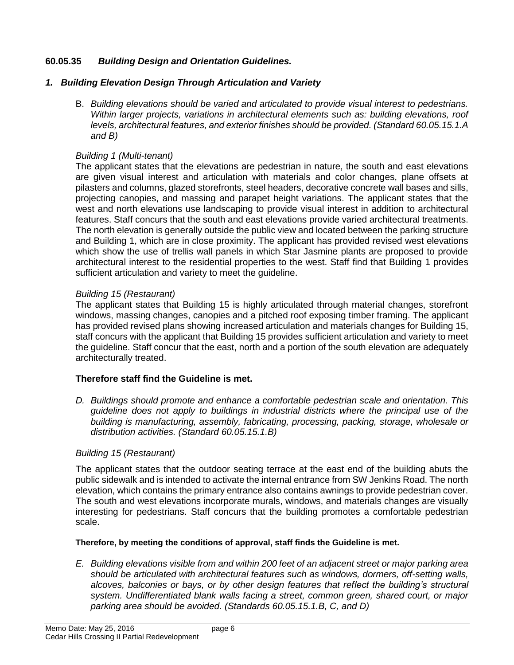## **60.05.35** *Building Design and Orientation Guidelines.*

#### *1. Building Elevation Design Through Articulation and Variety*

B. *Building elevations should be varied and articulated to provide visual interest to pedestrians. Within larger projects, variations in architectural elements such as: building elevations, roof levels, architectural features, and exterior finishes should be provided. (Standard 60.05.15.1.A and B)*

#### *Building 1 (Multi-tenant)*

The applicant states that the elevations are pedestrian in nature, the south and east elevations are given visual interest and articulation with materials and color changes, plane offsets at pilasters and columns, glazed storefronts, steel headers, decorative concrete wall bases and sills, projecting canopies, and massing and parapet height variations. The applicant states that the west and north elevations use landscaping to provide visual interest in addition to architectural features. Staff concurs that the south and east elevations provide varied architectural treatments. The north elevation is generally outside the public view and located between the parking structure and Building 1, which are in close proximity. The applicant has provided revised west elevations which show the use of trellis wall panels in which Star Jasmine plants are proposed to provide architectural interest to the residential properties to the west. Staff find that Building 1 provides sufficient articulation and variety to meet the guideline.

## *Building 15 (Restaurant)*

The applicant states that Building 15 is highly articulated through material changes, storefront windows, massing changes, canopies and a pitched roof exposing timber framing. The applicant has provided revised plans showing increased articulation and materials changes for Building 15, staff concurs with the applicant that Building 15 provides sufficient articulation and variety to meet the guideline. Staff concur that the east, north and a portion of the south elevation are adequately architecturally treated.

## **Therefore staff find the Guideline is met.**

*D. Buildings should promote and enhance a comfortable pedestrian scale and orientation. This guideline does not apply to buildings in industrial districts where the principal use of the building is manufacturing, assembly, fabricating, processing, packing, storage, wholesale or distribution activities. (Standard 60.05.15.1.B)* 

## *Building 15 (Restaurant)*

The applicant states that the outdoor seating terrace at the east end of the building abuts the public sidewalk and is intended to activate the internal entrance from SW Jenkins Road. The north elevation, which contains the primary entrance also contains awnings to provide pedestrian cover. The south and west elevations incorporate murals, windows, and materials changes are visually interesting for pedestrians. Staff concurs that the building promotes a comfortable pedestrian scale.

#### **Therefore, by meeting the conditions of approval, staff finds the Guideline is met.**

*E. Building elevations visible from and within 200 feet of an adjacent street or major parking area should be articulated with architectural features such as windows, dormers, off-setting walls, alcoves, balconies or bays, or by other design features that reflect the building's structural system. Undifferentiated blank walls facing a street, common green, shared court, or major parking area should be avoided. (Standards 60.05.15.1.B, C, and D)*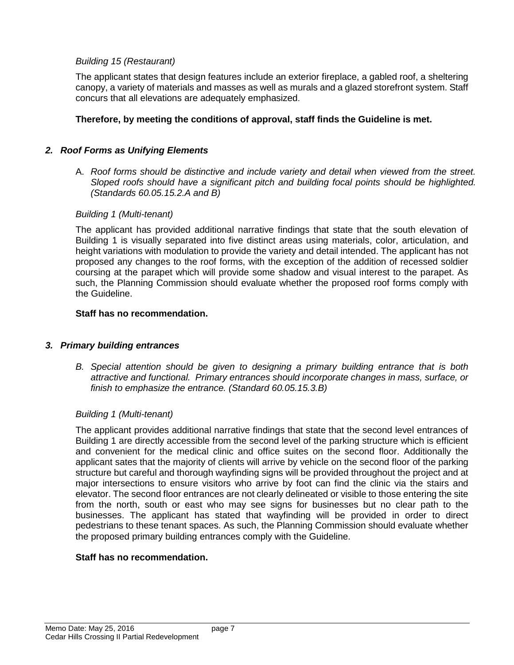#### *Building 15 (Restaurant)*

The applicant states that design features include an exterior fireplace, a gabled roof, a sheltering canopy, a variety of materials and masses as well as murals and a glazed storefront system. Staff concurs that all elevations are adequately emphasized.

#### **Therefore, by meeting the conditions of approval, staff finds the Guideline is met.**

#### *2. Roof Forms as Unifying Elements*

A. *Roof forms should be distinctive and include variety and detail when viewed from the street. Sloped roofs should have a significant pitch and building focal points should be highlighted. (Standards 60.05.15.2.A and B)*

#### *Building 1 (Multi-tenant)*

The applicant has provided additional narrative findings that state that the south elevation of Building 1 is visually separated into five distinct areas using materials, color, articulation, and height variations with modulation to provide the variety and detail intended. The applicant has not proposed any changes to the roof forms, with the exception of the addition of recessed soldier coursing at the parapet which will provide some shadow and visual interest to the parapet. As such, the Planning Commission should evaluate whether the proposed roof forms comply with the Guideline.

#### **Staff has no recommendation.**

#### *3. Primary building entrances*

*B. Special attention should be given to designing a primary building entrance that is both attractive and functional. Primary entrances should incorporate changes in mass, surface, or finish to emphasize the entrance. (Standard 60.05.15.3.B)*

#### *Building 1 (Multi-tenant)*

The applicant provides additional narrative findings that state that the second level entrances of Building 1 are directly accessible from the second level of the parking structure which is efficient and convenient for the medical clinic and office suites on the second floor. Additionally the applicant sates that the majority of clients will arrive by vehicle on the second floor of the parking structure but careful and thorough wayfinding signs will be provided throughout the project and at major intersections to ensure visitors who arrive by foot can find the clinic via the stairs and elevator. The second floor entrances are not clearly delineated or visible to those entering the site from the north, south or east who may see signs for businesses but no clear path to the businesses. The applicant has stated that wayfinding will be provided in order to direct pedestrians to these tenant spaces. As such, the Planning Commission should evaluate whether the proposed primary building entrances comply with the Guideline.

#### **Staff has no recommendation.**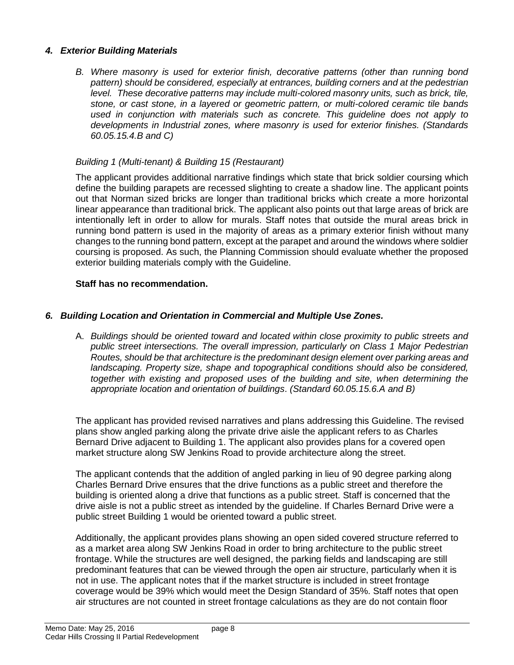#### *4. Exterior Building Materials*

*B. Where masonry is used for exterior finish, decorative patterns (other than running bond pattern) should be considered, especially at entrances, building corners and at the pedestrian level. These decorative patterns may include multi-colored masonry units, such as brick, tile, stone, or cast stone, in a layered or geometric pattern, or multi-colored ceramic tile bands used in conjunction with materials such as concrete. This guideline does not apply to developments in Industrial zones, where masonry is used for exterior finishes. (Standards 60.05.15.4.B and C)*

#### *Building 1 (Multi-tenant) & Building 15 (Restaurant)*

The applicant provides additional narrative findings which state that brick soldier coursing which define the building parapets are recessed slighting to create a shadow line. The applicant points out that Norman sized bricks are longer than traditional bricks which create a more horizontal linear appearance than traditional brick. The applicant also points out that large areas of brick are intentionally left in order to allow for murals. Staff notes that outside the mural areas brick in running bond pattern is used in the majority of areas as a primary exterior finish without many changes to the running bond pattern, except at the parapet and around the windows where soldier coursing is proposed. As such, the Planning Commission should evaluate whether the proposed exterior building materials comply with the Guideline.

#### **Staff has no recommendation.**

#### *6. Building Location and Orientation in Commercial and Multiple Use Zones.*

A. *Buildings should be oriented toward and located within close proximity to public streets and public street intersections. The overall impression, particularly on Class 1 Major Pedestrian Routes, should be that architecture is the predominant design element over parking areas and landscaping. Property size, shape and topographical conditions should also be considered, together with existing and proposed uses of the building and site, when determining the appropriate location and orientation of buildings*. *(Standard 60.05.15.6.A and B)*

The applicant has provided revised narratives and plans addressing this Guideline. The revised plans show angled parking along the private drive aisle the applicant refers to as Charles Bernard Drive adjacent to Building 1. The applicant also provides plans for a covered open market structure along SW Jenkins Road to provide architecture along the street.

The applicant contends that the addition of angled parking in lieu of 90 degree parking along Charles Bernard Drive ensures that the drive functions as a public street and therefore the building is oriented along a drive that functions as a public street. Staff is concerned that the drive aisle is not a public street as intended by the guideline. If Charles Bernard Drive were a public street Building 1 would be oriented toward a public street.

Additionally, the applicant provides plans showing an open sided covered structure referred to as a market area along SW Jenkins Road in order to bring architecture to the public street frontage. While the structures are well designed, the parking fields and landscaping are still predominant features that can be viewed through the open air structure, particularly when it is not in use. The applicant notes that if the market structure is included in street frontage coverage would be 39% which would meet the Design Standard of 35%. Staff notes that open air structures are not counted in street frontage calculations as they are do not contain floor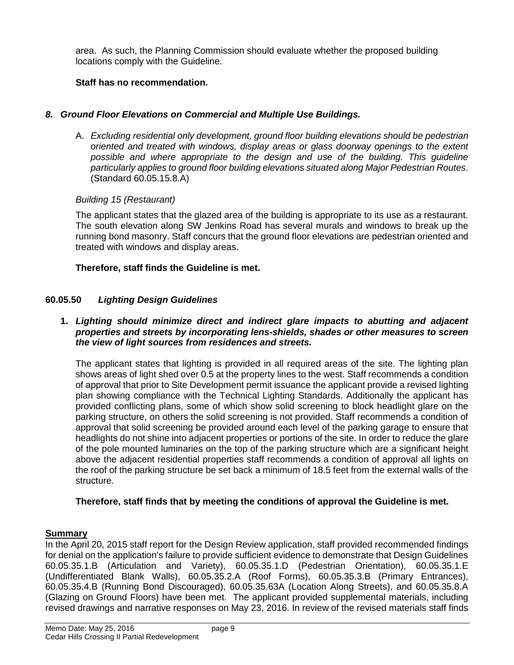area. As such, the Planning Commission should evaluate whether the proposed building locations comply with the Guideline.

## **Staff has no recommendation.**

# *8. Ground Floor Elevations on Commercial and Multiple Use Buildings.*

A. *Excluding residential only development, ground floor building elevations should be pedestrian oriented and treated with windows, display areas or glass doorway openings to the extent*  possible and where appropriate to the design and use of the building. This quideline *particularly applies to ground floor building elevations situated along Major Pedestrian Routes*. (Standard 60.05.15.8.A)

## *Building 15 (Restaurant)*

The applicant states that the glazed area of the building is appropriate to its use as a restaurant. The south elevation along SW Jenkins Road has several murals and windows to break up the running bond masonry. Staff concurs that the ground floor elevations are pedestrian oriented and treated with windows and display areas.

## **Therefore, staff finds the Guideline is met.**

# **60.05.50** *Lighting Design Guidelines*

#### **1.** *Lighting should minimize direct and indirect glare impacts to abutting and adjacent properties and streets by incorporating lens-shields, shades or other measures to screen the view of light sources from residences and streets.*

The applicant states that lighting is provided in all required areas of the site. The lighting plan shows areas of light shed over 0.5 at the property lines to the west. Staff recommends a condition of approval that prior to Site Development permit issuance the applicant provide a revised lighting plan showing compliance with the Technical Lighting Standards. Additionally the applicant has provided conflicting plans, some of which show solid screening to block headlight glare on the parking structure, on others the solid screening is not provided. Staff recommends a condition of approval that solid screening be provided around each level of the parking garage to ensure that headlights do not shine into adjacent properties or portions of the site. In order to reduce the glare of the pole mounted luminaries on the top of the parking structure which are a significant height above the adjacent residential properties staff recommends a condition of approval all lights on the roof of the parking structure be set back a minimum of 18.5 feet from the external walls of the structure.

## **Therefore, staff finds that by meeting the conditions of approval the Guideline is met.**

## **Summary**

In the April 20, 2015 staff report for the Design Review application, staff provided recommended findings for denial on the application's failure to provide sufficient evidence to demonstrate that Design Guidelines 60.05.35.1.B (Articulation and Variety), 60.05.35.1.D (Pedestrian Orientation), 60.05.35.1.E (Undifferentiated Blank Walls), 60.05.35.2.A (Roof Forms), 60.05.35.3.B (Primary Entrances), 60.05.35.4.B (Running Bond Discouraged), 60.05.35.63A (Location Along Streets), and 60.05.35.8.A (Glazing on Ground Floors) have been met. The applicant provided supplemental materials, including revised drawings and narrative responses on May 23, 2016. In review of the revised materials staff finds